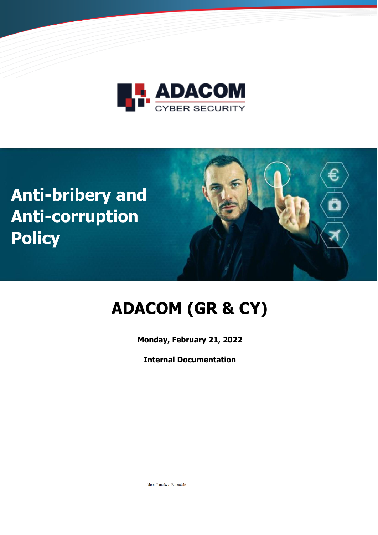





# **ADACOM (GR & CY)**

**Monday, February 21, 2022**

**Internal Documentation**

Altani Paraskevi Batoudaki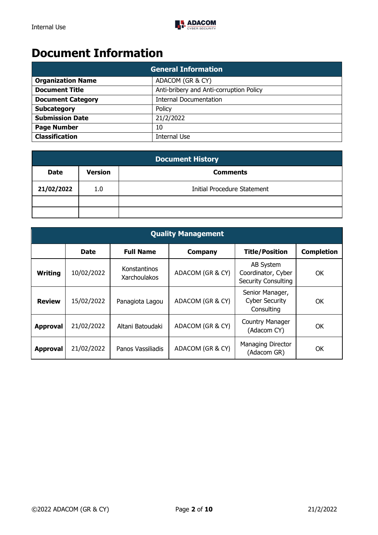## **Document Information**

| <b>General Information</b> |                                         |
|----------------------------|-----------------------------------------|
| <b>Organization Name</b>   | ADACOM (GR & CY)                        |
| <b>Document Title</b>      | Anti-bribery and Anti-corruption Policy |
| <b>Document Category</b>   | <b>Internal Documentation</b>           |
| <b>Subcategory</b>         | Policy                                  |
| <b>Submission Date</b>     | 21/2/2022                               |
| <b>Page Number</b>         | 10                                      |
| <b>Classification</b>      | <b>Internal Use</b>                     |

| <b>Document History</b> |                |                             |
|-------------------------|----------------|-----------------------------|
| Date                    | <b>Version</b> | <b>Comments</b>             |
| 21/02/2022              | 1.0            | Initial Procedure Statement |
|                         |                |                             |
|                         |                |                             |

|                 | <b>Quality Management</b> |                                     |                  |                                                                      |                   |
|-----------------|---------------------------|-------------------------------------|------------------|----------------------------------------------------------------------|-------------------|
|                 | <b>Date</b>               | <b>Full Name</b>                    | <b>Company</b>   | <b>Title/Position</b>                                                | <b>Completion</b> |
| <b>Writing</b>  | 10/02/2022                | Konstantinos<br><b>Xarchoulakos</b> | ADACOM (GR & CY) | <b>AB System</b><br>Coordinator, Cyber<br><b>Security Consulting</b> | OK                |
| <b>Review</b>   | 15/02/2022                | Panagiota Lagou                     | ADACOM (GR & CY) | Senior Manager,<br><b>Cyber Security</b><br>Consulting               | OK                |
| <b>Approval</b> | 21/02/2022                | Altani Batoudaki                    | ADACOM (GR & CY) | <b>Country Manager</b><br>(Adacom CY)                                | OK                |
| <b>Approval</b> | 21/02/2022                | Panos Vassiliadis                   | ADACOM (GR & CY) | Managing Director<br>(Adacom GR)                                     | OK                |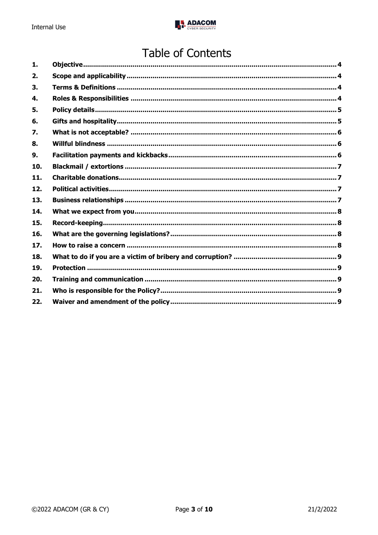

# **Table of Contents**

| 1.  |  |
|-----|--|
| 2.  |  |
| 3.  |  |
| 4.  |  |
| 5.  |  |
| 6.  |  |
| 7.  |  |
| 8.  |  |
| 9.  |  |
| 10. |  |
| 11. |  |
| 12. |  |
| 13. |  |
| 14. |  |
| 15. |  |
| 16. |  |
| 17. |  |
| 18. |  |
| 19. |  |
| 20. |  |
| 21. |  |
| 22. |  |
|     |  |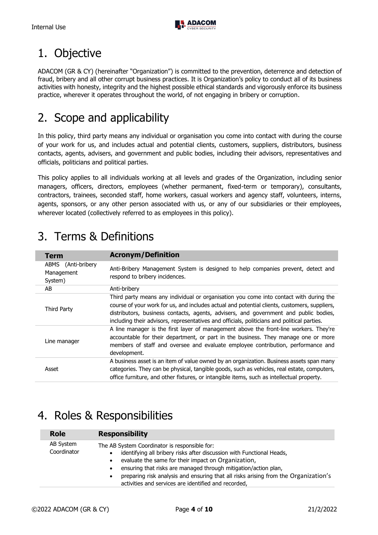

# <span id="page-3-0"></span>1. Objective

ADACOM (GR & CY) (hereinafter "Organization") is committed to the prevention, deterrence and detection of fraud, bribery and all other corrupt business practices. It is Organization's policy to conduct all of its business activities with honesty, integrity and the highest possible ethical standards and vigorously enforce its business practice, wherever it operates throughout the world, of not engaging in bribery or corruption.

# <span id="page-3-1"></span>2. Scope and applicability

In this policy, third party means any individual or organisation you come into contact with during the course of your work for us, and includes actual and potential clients, customers, suppliers, distributors, business contacts, agents, advisers, and government and public bodies, including their advisors, representatives and officials, politicians and political parties.

This policy applies to all individuals working at all levels and grades of the Organization, including senior managers, officers, directors, employees (whether permanent, fixed-term or temporary), consultants, contractors, trainees, seconded staff, home workers, casual workers and agency staff, volunteers, interns, agents, sponsors, or any other person associated with us, or any of our subsidiaries or their employees, wherever located (collectively referred to as employees in this policy).

| <b>Term</b>                                     | <b>Acronym/Definition</b>                                                                                                                                                                                                                                                                                                                                                     |
|-------------------------------------------------|-------------------------------------------------------------------------------------------------------------------------------------------------------------------------------------------------------------------------------------------------------------------------------------------------------------------------------------------------------------------------------|
| ABMS<br>(Anti-bribery)<br>Management<br>System) | Anti-Bribery Management System is designed to help companies prevent, detect and<br>respond to bribery incidences.                                                                                                                                                                                                                                                            |
| AB                                              | Anti-bribery                                                                                                                                                                                                                                                                                                                                                                  |
| Third Party                                     | Third party means any individual or organisation you come into contact with during the<br>course of your work for us, and includes actual and potential clients, customers, suppliers,<br>distributors, business contacts, agents, advisers, and government and public bodies,<br>including their advisors, representatives and officials, politicians and political parties. |
| Line manager                                    | A line manager is the first layer of management above the front-line workers. They're<br>accountable for their department, or part in the business. They manage one or more<br>members of staff and oversee and evaluate employee contribution, performance and<br>development.                                                                                               |
| Asset                                           | A business asset is an item of value owned by an organization. Business assets span many<br>categories. They can be physical, tangible goods, such as vehicles, real estate, computers,<br>office furniture, and other fixtures, or intangible items, such as intellectual property.                                                                                          |

# <span id="page-3-2"></span>3. Terms & Definitions

# <span id="page-3-3"></span>4. Roles & Responsibilities

| <b>Role</b>              | <b>Responsibility</b>                                                                                                                                                                                                                                                                                                                                                                                        |
|--------------------------|--------------------------------------------------------------------------------------------------------------------------------------------------------------------------------------------------------------------------------------------------------------------------------------------------------------------------------------------------------------------------------------------------------------|
| AB System<br>Coordinator | The AB System Coordinator is responsible for:<br>identifying all bribery risks after discussion with Functional Heads,<br>evaluate the same for their impact on Organization,<br>$\bullet$<br>ensuring that risks are managed through mitigation/action plan,<br>preparing risk analysis and ensuring that all risks arising from the Organization's<br>activities and services are identified and recorded, |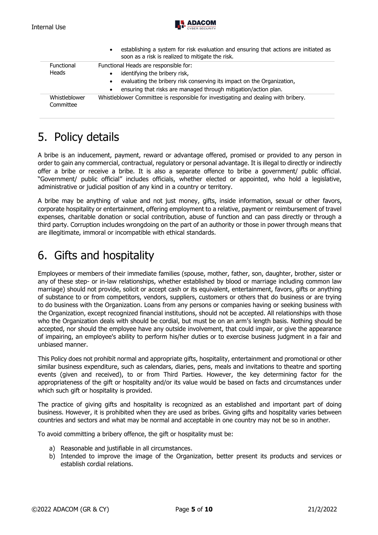

|                            | establishing a system for risk evaluation and ensuring that actions are initiated as<br>$\bullet$<br>soon as a risk is realized to mitigate the risk.                                                                                         |
|----------------------------|-----------------------------------------------------------------------------------------------------------------------------------------------------------------------------------------------------------------------------------------------|
| Functional<br><b>Heads</b> | Functional Heads are responsible for:<br>identifying the bribery risk,<br>evaluating the bribery risk conserving its impact on the Organization,<br>$\bullet$<br>ensuring that risks are managed through mitigation/action plan.<br>$\bullet$ |
| Whistleblower<br>Committee | Whistleblower Committee is responsible for investigating and dealing with bribery.                                                                                                                                                            |

# <span id="page-4-0"></span>5. Policy details

A bribe is an inducement, payment, reward or advantage offered, promised or provided to any person in order to gain any commercial, contractual, regulatory or personal advantage. It is illegal to directly or indirectly offer a bribe or receive a bribe. It is also a separate offence to bribe a government/ public official. "Government/ public official" includes officials, whether elected or appointed, who hold a legislative, administrative or judicial position of any kind in a country or territory.

A bribe may be anything of value and not just money, gifts, inside information, sexual or other favors, corporate hospitality or entertainment, offering employment to a relative, payment or reimbursement of travel expenses, charitable donation or social contribution, abuse of function and can pass directly or through a third party. Corruption includes wrongdoing on the part of an authority or those in power through means that are illegitimate, immoral or incompatible with ethical standards.

# <span id="page-4-1"></span>6. Gifts and hospitality

Employees or members of their immediate families (spouse, mother, father, son, daughter, brother, sister or any of these step- or in-law relationships, whether established by blood or marriage including common law marriage) should not provide, solicit or accept cash or its equivalent, entertainment, favors, gifts or anything of substance to or from competitors, vendors, suppliers, customers or others that do business or are trying to do business with the Organization. Loans from any persons or companies having or seeking business with the Organization, except recognized financial institutions, should not be accepted. All relationships with those who the Organization deals with should be cordial, but must be on an arm's length basis. Nothing should be accepted, nor should the employee have any outside involvement, that could impair, or give the appearance of impairing, an employee's ability to perform his/her duties or to exercise business judgment in a fair and unbiased manner.

This Policy does not prohibit normal and appropriate gifts, hospitality, entertainment and promotional or other similar business expenditure, such as calendars, diaries, pens, meals and invitations to theatre and sporting events (given and received), to or from Third Parties. However, the key determining factor for the appropriateness of the gift or hospitality and/or its value would be based on facts and circumstances under which such gift or hospitality is provided.

The practice of giving gifts and hospitality is recognized as an established and important part of doing business. However, it is prohibited when they are used as bribes. Giving gifts and hospitality varies between countries and sectors and what may be normal and acceptable in one country may not be so in another.

To avoid committing a bribery offence, the gift or hospitality must be:

- a) Reasonable and justifiable in all circumstances.
- b) Intended to improve the image of the Organization, better present its products and services or establish cordial relations.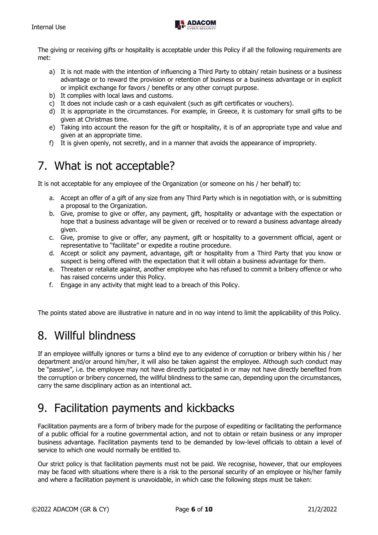

The giving or receiving gifts or hospitality is acceptable under this Policy if all the following requirements are met:

- a) It is not made with the intention of influencing a Third Party to obtain/ retain business or a business advantage or to reward the provision or retention of business or a business advantage or in explicit or implicit exchange for favors / benefits or any other corrupt purpose.
- b) It complies with local laws and customs.
- c) It does not include cash or a cash equivalent (such as gift certificates or vouchers).
- d) It is appropriate in the circumstances. For example, in Greece, it is customary for small gifts to be given at Christmas time.
- e) Taking into account the reason for the gift or hospitality, it is of an appropriate type and value and given at an appropriate time.
- f) It is given openly, not secretly, and in a manner that avoids the appearance of impropriety.

#### <span id="page-5-0"></span>7. What is not acceptable?

It is not acceptable for any employee of the Organization (or someone on his / her behalf) to:

- a. Accept an offer of a gift of any size from any Third Party which is in negotiation with, or is submitting a proposal to the Organization.
- b. Give, promise to give or offer, any payment, gift, hospitality or advantage with the expectation or hope that a business advantage will be given or received or to reward a business advantage already given.
- c. Give, promise to give or offer, any payment, gift or hospitality to a government official, agent or representative to "facilitate" or expedite a routine procedure.
- d. Accept or solicit any payment, advantage, gift or hospitality from a Third Party that you know or suspect is being offered with the expectation that it will obtain a business advantage for them.
- e. Threaten or retaliate against, another employee who has refused to commit a bribery offence or who has raised concerns under this Policy.
- f. Engage in any activity that might lead to a breach of this Policy.

The points stated above are illustrative in nature and in no way intend to limit the applicability of this Policy.

## <span id="page-5-1"></span>8. Willful blindness

If an employee willfully ignores or turns a blind eye to any evidence of corruption or bribery within his / her department and/or around him/her, it will also be taken against the employee. Although such conduct may be "passive", i.e. the employee may not have directly participated in or may not have directly benefited from the corruption or bribery concerned, the willful blindness to the same can, depending upon the circumstances, carry the same disciplinary action as an intentional act.

## <span id="page-5-2"></span>9. Facilitation payments and kickbacks

Facilitation payments are a form of bribery made for the purpose of expediting or facilitating the performance of a public official for a routine governmental action, and not to obtain or retain business or any improper business advantage. Facilitation payments tend to be demanded by low-level officials to obtain a level of service to which one would normally be entitled to.

Our strict policy is that facilitation payments must not be paid. We recognise, however, that our employees may be faced with situations where there is a risk to the personal security of an employee or his/her family and where a facilitation payment is unavoidable, in which case the following steps must be taken: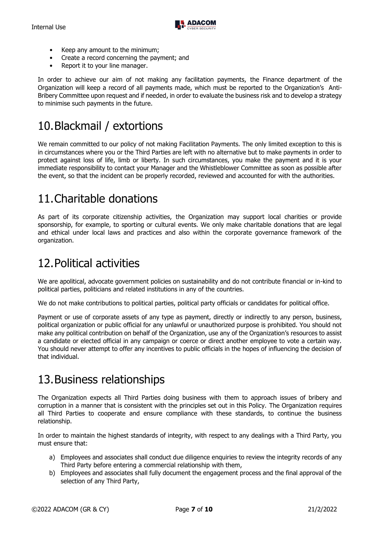

- Keep any amount to the minimum;
- Create a record concerning the payment; and
- Report it to your line manager.

In order to achieve our aim of not making any facilitation payments, the Finance department of the Organization will keep a record of all payments made, which must be reported to the Organization's Anti-Bribery Committee upon request and if needed, in order to evaluate the business risk and to develop a strategy to minimise such payments in the future.

# <span id="page-6-0"></span>10.Blackmail / extortions

We remain committed to our policy of not making Facilitation Payments. The only limited exception to this is in circumstances where you or the Third Parties are left with no alternative but to make payments in order to protect against loss of life, limb or liberty. In such circumstances, you make the payment and it is your immediate responsibility to contact your Manager and the Whistleblower Committee as soon as possible after the event, so that the incident can be properly recorded, reviewed and accounted for with the authorities.

## <span id="page-6-1"></span>11.Charitable donations

As part of its corporate citizenship activities, the Organization may support local charities or provide sponsorship, for example, to sporting or cultural events. We only make charitable donations that are legal and ethical under local laws and practices and also within the corporate governance framework of the organization.

#### <span id="page-6-2"></span>12.Political activities

We are apolitical, advocate government policies on sustainability and do not contribute financial or in-kind to political parties, politicians and related institutions in any of the countries.

We do not make contributions to political parties, political party officials or candidates for political office.

Payment or use of corporate assets of any type as payment, directly or indirectly to any person, business, political organization or public official for any unlawful or unauthorized purpose is prohibited. You should not make any political contribution on behalf of the Organization, use any of the Organization's resources to assist a candidate or elected official in any campaign or coerce or direct another employee to vote a certain way. You should never attempt to offer any incentives to public officials in the hopes of influencing the decision of that individual.

#### <span id="page-6-3"></span>13.Business relationships

The Organization expects all Third Parties doing business with them to approach issues of bribery and corruption in a manner that is consistent with the principles set out in this Policy. The Organization requires all Third Parties to cooperate and ensure compliance with these standards, to continue the business relationship.

In order to maintain the highest standards of integrity, with respect to any dealings with a Third Party, you must ensure that:

- a) Employees and associates shall conduct due diligence enquiries to review the integrity records of any Third Party before entering a commercial relationship with them,
- b) Employees and associates shall fully document the engagement process and the final approval of the selection of any Third Party,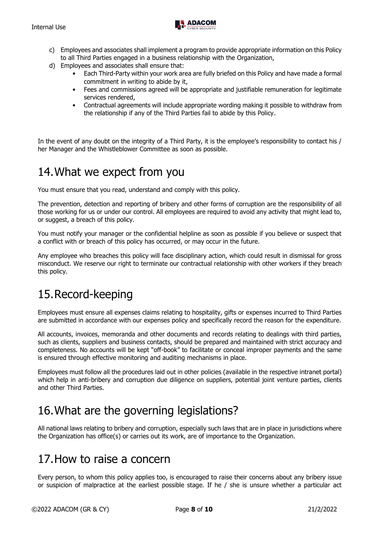

- c) Employees and associates shall implement a program to provide appropriate information on this Policy to all Third Parties engaged in a business relationship with the Organization,
- d) Employees and associates shall ensure that:
	- Each Third-Party within your work area are fully briefed on this Policy and have made a formal commitment in writing to abide by it,
	- Fees and commissions agreed will be appropriate and justifiable remuneration for legitimate services rendered,
	- Contractual agreements will include appropriate wording making it possible to withdraw from the relationship if any of the Third Parties fail to abide by this Policy.

In the event of any doubt on the integrity of a Third Party, it is the employee's responsibility to contact his / her Manager and the Whistleblower Committee as soon as possible.

#### <span id="page-7-0"></span>14.What we expect from you

You must ensure that you read, understand and comply with this policy.

The prevention, detection and reporting of bribery and other forms of corruption are the responsibility of all those working for us or under our control. All employees are required to avoid any activity that might lead to, or suggest, a breach of this policy.

You must notify your manager or the confidential helpline as soon as possible if you believe or suspect that a conflict with or breach of this policy has occurred, or may occur in the future.

Any employee who breaches this policy will face disciplinary action, which could result in dismissal for gross misconduct. We reserve our right to terminate our contractual relationship with other workers if they breach this policy.

#### <span id="page-7-1"></span>15.Record-keeping

Employees must ensure all expenses claims relating to hospitality, gifts or expenses incurred to Third Parties are submitted in accordance with our expenses policy and specifically record the reason for the expenditure.

All accounts, invoices, memoranda and other documents and records relating to dealings with third parties, such as clients, suppliers and business contacts, should be prepared and maintained with strict accuracy and completeness. No accounts will be kept "off-book" to facilitate or conceal improper payments and the same is ensured through effective monitoring and auditing mechanisms in place.

Employees must follow all the procedures laid out in other policies (available in the respective intranet portal) which help in anti-bribery and corruption due diligence on suppliers, potential joint venture parties, clients and other Third Parties.

## <span id="page-7-2"></span>16.What are the governing legislations?

All national laws relating to bribery and corruption, especially such laws that are in place in jurisdictions where the Organization has office(s) or carries out its work, are of importance to the Organization.

#### <span id="page-7-3"></span>17.How to raise a concern

Every person, to whom this policy applies too, is encouraged to raise their concerns about any bribery issue or suspicion of malpractice at the earliest possible stage. If he / she is unsure whether a particular act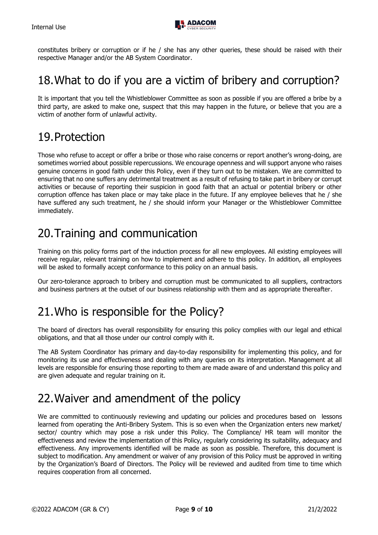

constitutes bribery or corruption or if he / she has any other queries, these should be raised with their respective Manager and/or the AB System Coordinator.

#### <span id="page-8-0"></span>18.What to do if you are a victim of bribery and corruption?

It is important that you tell the Whistleblower Committee as soon as possible if you are offered a bribe by a third party, are asked to make one, suspect that this may happen in the future, or believe that you are a victim of another form of unlawful activity.

#### <span id="page-8-1"></span>19.Protection

Those who refuse to accept or offer a bribe or those who raise concerns or report another's wrong-doing, are sometimes worried about possible repercussions. We encourage openness and will support anyone who raises genuine concerns in good faith under this Policy, even if they turn out to be mistaken. We are committed to ensuring that no one suffers any detrimental treatment as a result of refusing to take part in bribery or corrupt activities or because of reporting their suspicion in good faith that an actual or potential bribery or other corruption offence has taken place or may take place in the future. If any employee believes that he / she have suffered any such treatment, he / she should inform your Manager or the Whistleblower Committee immediately.

## <span id="page-8-2"></span>20.Training and communication

Training on this policy forms part of the induction process for all new employees. All existing employees will receive regular, relevant training on how to implement and adhere to this policy. In addition, all employees will be asked to formally accept conformance to this policy on an annual basis.

Our zero-tolerance approach to bribery and corruption must be communicated to all suppliers, contractors and business partners at the outset of our business relationship with them and as appropriate thereafter.

#### <span id="page-8-3"></span>21.Who is responsible for the Policy?

The board of directors has overall responsibility for ensuring this policy complies with our legal and ethical obligations, and that all those under our control comply with it.

The AB System Coordinator has primary and day-to-day responsibility for implementing this policy, and for monitoring its use and effectiveness and dealing with any queries on its interpretation. Management at all levels are responsible for ensuring those reporting to them are made aware of and understand this policy and are given adequate and regular training on it.

## <span id="page-8-4"></span>22.Waiver and amendment of the policy

We are committed to continuously reviewing and updating our policies and procedures based on lessons learned from operating the Anti-Bribery System. This is so even when the Organization enters new market/ sector/ country which may pose a risk under this Policy. The Compliance/ HR team will monitor the effectiveness and review the implementation of this Policy, regularly considering its suitability, adequacy and effectiveness. Any improvements identified will be made as soon as possible. Therefore, this document is subject to modification. Any amendment or waiver of any provision of this Policy must be approved in writing by the Organization's Board of Directors. The Policy will be reviewed and audited from time to time which requires cooperation from all concerned.